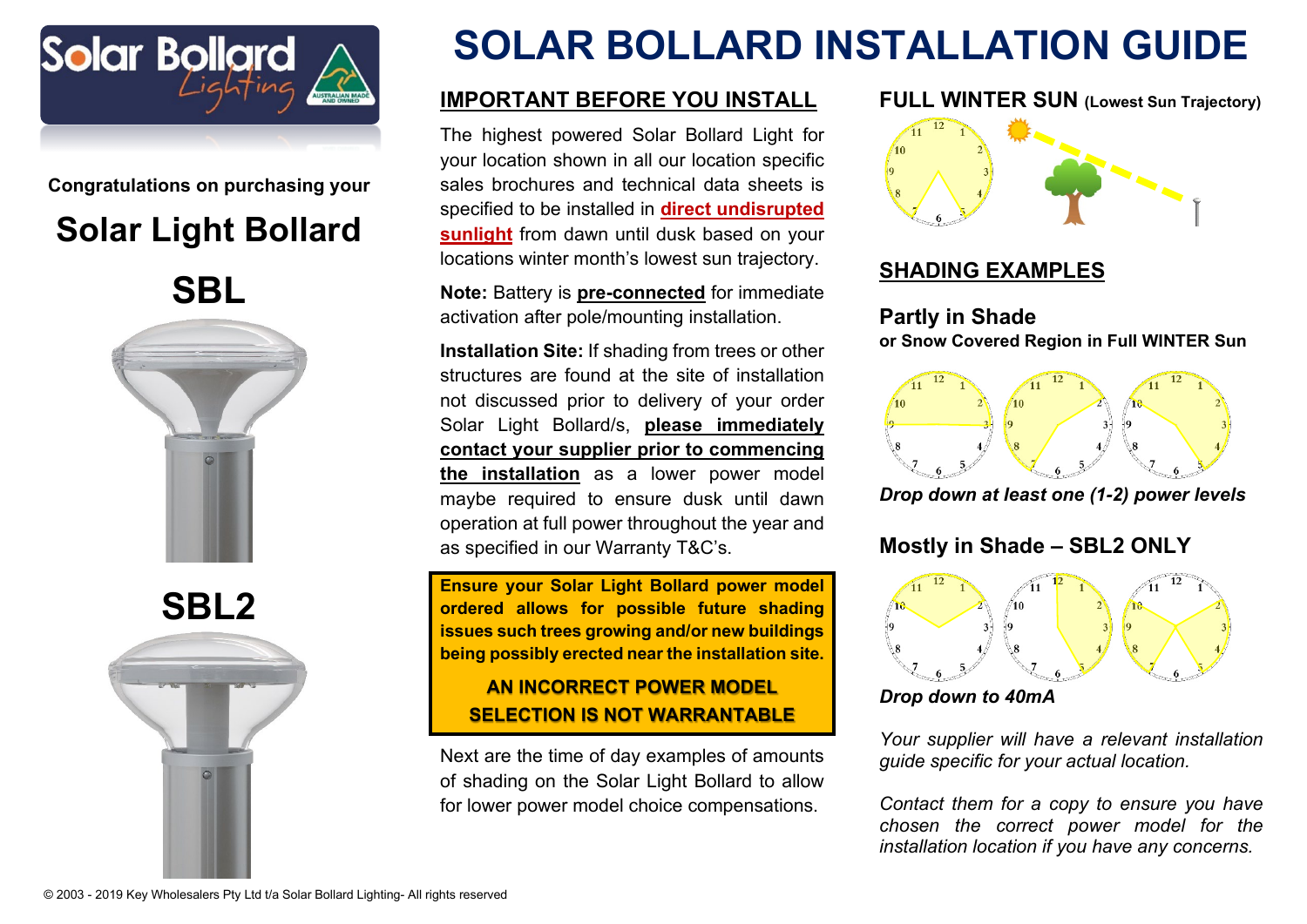

**Congratulations on purchasing your**

# **Solar Light Bollard**

**SBL**



**SBL2**



# **SOLAR BOLLARD INSTALLATION GUIDE**

# **IMPORTANT BEFORE YOU INSTALL**

The highest powered Solar Bollard Light for your location shown in all our location specific sales brochures and technical data sheets is specified to be installed in **direct undisrupted sunlight** from dawn until dusk based on your locations winter month's lowest sun trajectory.

**Note:** Battery is **pre-connected** for immediate activation after pole/mounting installation.

**Installation Site:** If shading from trees or other structures are found at the site of installation not discussed prior to delivery of your order Solar Light Bollard/s, **please immediately contact your supplier prior to commencing the installation** as a lower power model maybe required to ensure dusk until dawn operation at full power throughout the year and as specified in our Warranty T&C's.

**Ensure your Solar Light Bollard power model ordered allows for possible future shading issues such trees growing and/or new buildings being possibly erected near the installation site.**

# **AN INCORRECT POWER MODEL SELECTION IS NOT WARRANTABLE**

Next are the time of day examples of amounts of shading on the Solar Light Bollard to allow for lower power model choice compensations.

## **FULL WINTER SUN (Lowest Sun Trajectory)**



# **SHADING EXAMPLES**

## **Partly in Shade or Snow Covered Region in Full WINTER Sun**



*Drop down at least one (1-2) power levels*

# **Mostly in Shade – SBL2 ONLY**



*Drop down to 40mA*

*Your supplier will have a relevant installation guide specific for your actual location.* 

*Contact them for a copy to ensure you have chosen the correct power model for the installation location if you have any concerns.*